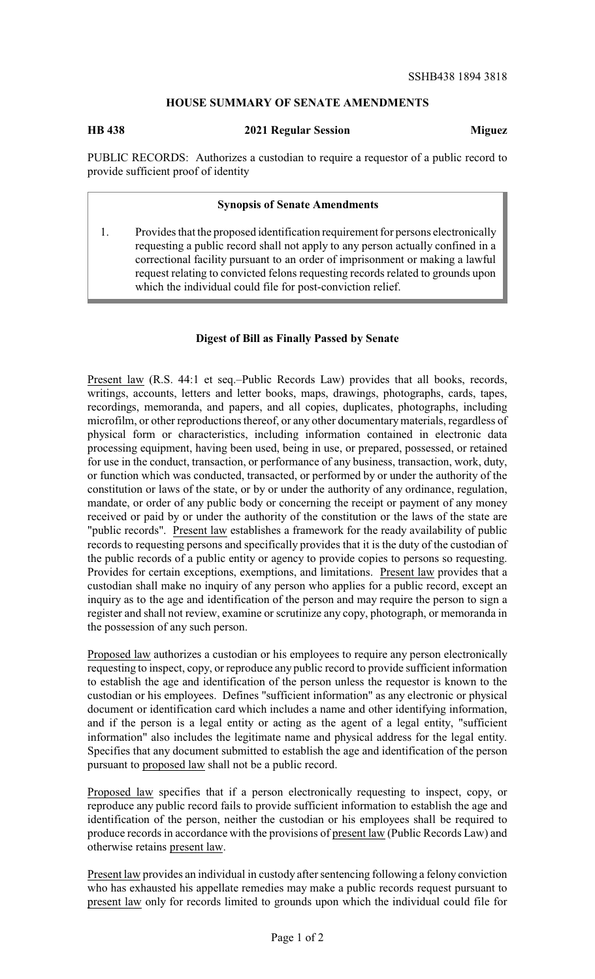# **HOUSE SUMMARY OF SENATE AMENDMENTS**

### **HB 438 2021 Regular Session Miguez**

PUBLIC RECORDS: Authorizes a custodian to require a requestor of a public record to provide sufficient proof of identity

### **Synopsis of Senate Amendments**

1. Provides that the proposed identification requirement for persons electronically requesting a public record shall not apply to any person actually confined in a correctional facility pursuant to an order of imprisonment or making a lawful request relating to convicted felons requesting records related to grounds upon which the individual could file for post-conviction relief.

## **Digest of Bill as Finally Passed by Senate**

Present law (R.S. 44:1 et seq.–Public Records Law) provides that all books, records, writings, accounts, letters and letter books, maps, drawings, photographs, cards, tapes, recordings, memoranda, and papers, and all copies, duplicates, photographs, including microfilm, or other reproductions thereof, or any other documentarymaterials, regardless of physical form or characteristics, including information contained in electronic data processing equipment, having been used, being in use, or prepared, possessed, or retained for use in the conduct, transaction, or performance of any business, transaction, work, duty, or function which was conducted, transacted, or performed by or under the authority of the constitution or laws of the state, or by or under the authority of any ordinance, regulation, mandate, or order of any public body or concerning the receipt or payment of any money received or paid by or under the authority of the constitution or the laws of the state are "public records". Present law establishes a framework for the ready availability of public records to requesting persons and specifically provides that it is the duty of the custodian of the public records of a public entity or agency to provide copies to persons so requesting. Provides for certain exceptions, exemptions, and limitations. Present law provides that a custodian shall make no inquiry of any person who applies for a public record, except an inquiry as to the age and identification of the person and may require the person to sign a register and shall not review, examine or scrutinize any copy, photograph, or memoranda in the possession of any such person.

Proposed law authorizes a custodian or his employees to require any person electronically requesting to inspect, copy, or reproduce any public record to provide sufficient information to establish the age and identification of the person unless the requestor is known to the custodian or his employees. Defines "sufficient information" as any electronic or physical document or identification card which includes a name and other identifying information, and if the person is a legal entity or acting as the agent of a legal entity, "sufficient information" also includes the legitimate name and physical address for the legal entity. Specifies that any document submitted to establish the age and identification of the person pursuant to proposed law shall not be a public record.

Proposed law specifies that if a person electronically requesting to inspect, copy, or reproduce any public record fails to provide sufficient information to establish the age and identification of the person, neither the custodian or his employees shall be required to produce records in accordance with the provisions of present law (Public Records Law) and otherwise retains present law.

Present law provides an individual in custody after sentencing following a felony conviction who has exhausted his appellate remedies may make a public records request pursuant to present law only for records limited to grounds upon which the individual could file for